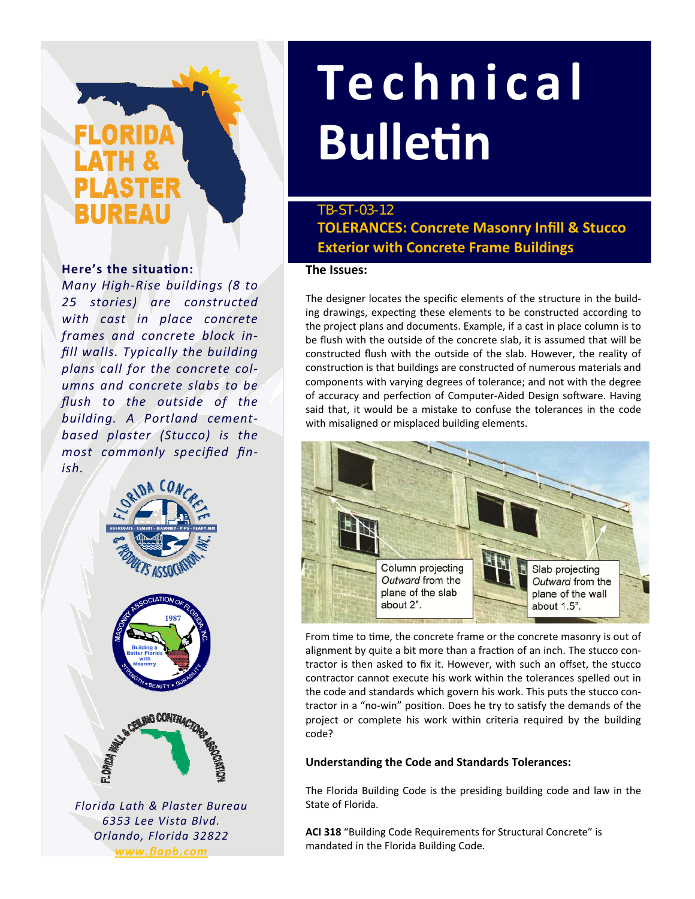# IREAL

#### **Here's the situaƟon:**

*Many High‐Rise buildings (8 to 25 stories) are constructed with cast in place concrete frames and concrete block in‐ fill walls. Typically the building plans call for the concrete col‐ umns and concrete slabs to be flush to the outside of the building. A Portland cement‐ based plaster (Stucco) is the most commonly specified fin‐ ish.*



*Florida Lath & Plaster Bureau 6353 Lee Vista Blvd. Orlando, Florida 32822 www.flapb.com*

## **Technical BulleƟn**

### **TOLERANCES: Concrete Masonry Infill & Stucco Exterior with Concrete Frame Buildings** TB-ST-03-12

#### **The Issues:**

The designer locates the specific elements of the structure in the build‐ ing drawings, expecting these elements to be constructed according to the project plans and documents. Example, if a cast in place column is to be flush with the outside of the concrete slab, it is assumed that will be constructed flush with the outside of the slab. However, the reality of construction is that buildings are constructed of numerous materials and components with varying degrees of tolerance; and not with the degree of accuracy and perfection of Computer-Aided Design software. Having said that, it would be a mistake to confuse the tolerances in the code with misaligned or misplaced building elements.



From time to time, the concrete frame or the concrete masonry is out of alignment by quite a bit more than a fraction of an inch. The stucco contractor is then asked to fix it. However, with such an offset, the stucco contractor cannot execute his work within the tolerances spelled out in the code and standards which govern his work. This puts the stucco con‐ tractor in a "no-win" position. Does he try to satisfy the demands of the project or complete his work within criteria required by the building code?

#### **Understanding the Code and Standards Tolerances:**

The Florida Building Code is the presiding building code and law in the State of Florida.

**ACI 318** "Building Code Requirements for Structural Concrete" is mandated in the Florida Building Code.